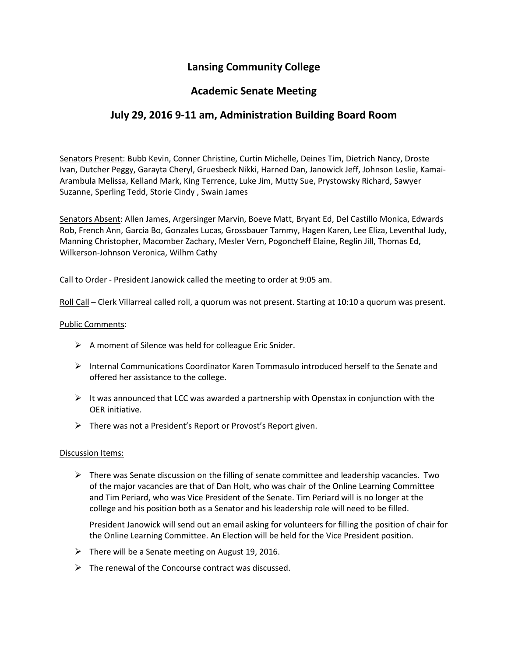# **Lansing Community College**

## **Academic Senate Meeting**

## **July 29, 2016 9-11 am, Administration Building Board Room**

Senators Present: Bubb Kevin, Conner Christine, Curtin Michelle, Deines Tim, Dietrich Nancy, Droste Ivan, Dutcher Peggy, Garayta Cheryl, Gruesbeck Nikki, Harned Dan, Janowick Jeff, Johnson Leslie, Kamai-Arambula Melissa, Kelland Mark, King Terrence, Luke Jim, Mutty Sue, Prystowsky Richard, Sawyer Suzanne, Sperling Tedd, Storie Cindy , Swain James

Senators Absent: Allen James, Argersinger Marvin, Boeve Matt, Bryant Ed, Del Castillo Monica, Edwards Rob, French Ann, Garcia Bo, Gonzales Lucas, Grossbauer Tammy, Hagen Karen, Lee Eliza, Leventhal Judy, Manning Christopher, Macomber Zachary, Mesler Vern, Pogoncheff Elaine, Reglin Jill, Thomas Ed, Wilkerson-Johnson Veronica, Wilhm Cathy

Call to Order - President Janowick called the meeting to order at 9:05 am.

Roll Call – Clerk Villarreal called roll, a quorum was not present. Starting at 10:10 a quorum was present.

#### Public Comments:

- $\triangleright$  A moment of Silence was held for colleague Eric Snider.
- $\triangleright$  Internal Communications Coordinator Karen Tommasulo introduced herself to the Senate and offered her assistance to the college.
- $\triangleright$  It was announced that LCC was awarded a partnership with Openstax in conjunction with the OER initiative.
- $\triangleright$  There was not a President's Report or Provost's Report given.

#### Discussion Items:

 $\triangleright$  There was Senate discussion on the filling of senate committee and leadership vacancies. Two of the major vacancies are that of Dan Holt, who was chair of the Online Learning Committee and Tim Periard, who was Vice President of the Senate. Tim Periard will is no longer at the college and his position both as a Senator and his leadership role will need to be filled.

President Janowick will send out an email asking for volunteers for filling the position of chair for the Online Learning Committee. An Election will be held for the Vice President position.

- $\triangleright$  There will be a Senate meeting on August 19, 2016.
- $\triangleright$  The renewal of the Concourse contract was discussed.